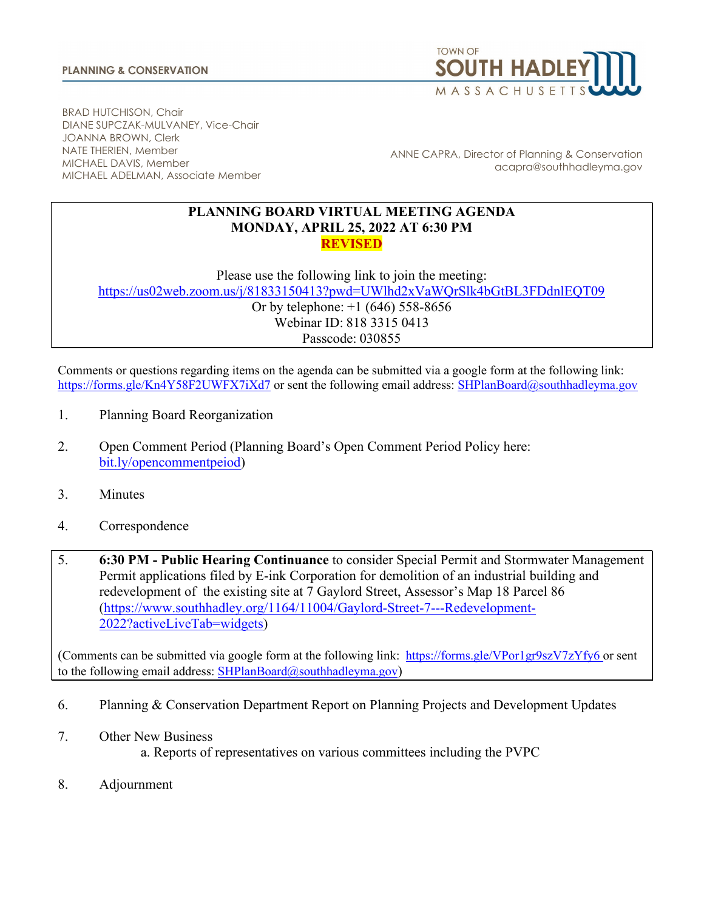

BRAD HUTCHISON, Chair DIANE SUPCZAK-MULVANEY, Vice-Chair JOANNA BROWN, Clerk NATE THERIEN, Member MICHAEL DAVIS, Member MICHAEL ADELMAN, Associate Member

ANNE CAPRA, Director of Planning & Conservation acapra@southhadleyma.gov

## **PLANNING BOARD VIRTUAL MEETING AGENDA MONDAY, APRIL 25, 2022 AT 6:30 PM REVISED**

Please use the following link to join the meeting:

<https://us02web.zoom.us/j/81833150413?pwd=UWlhd2xVaWQrSlk4bGtBL3FDdnlEQT09> Or by telephone: +1 (646) 558-8656 Webinar ID: 818 3315 0413 Passcode: 030855

Comments or questions regarding items on the agenda can be submitted via a google form at the following link: <https://forms.gle/Kn4Y58F2UWFX7iXd7> or sent the following email address: [SHPlanBoard@southhadleyma.gov](mailto:SHPlanBoard@southhadleyma.gov)

- 1. Planning Board Reorganization
- 2. Open Comment Period (Planning Board's Open Comment Period Policy here[:](https://www.southhadley.org/DocumentCenter/View/8160/Policy-on-Open-Comment-Period---As-Adopted-2021-03-08?bidId=) [bit.ly/opencommentpeiod\)](https://www.southhadley.org/DocumentCenter/View/8160/Policy-on-Open-Comment-Period---As-Adopted-2021-03-08?bidId=)
- 3. Minutes
- 4. Correspondence
- 5. **6:30 PM - Public Hearing Continuance** to consider Special Permit and Stormwater Management Permit applications filed by E-ink Corporation for demolition of an industrial building and redevelopment of the existing site at 7 Gaylord Street, Assessor's Map 18 Parcel 86 [\(https://www.southhadley.org/1164/11004/Gaylord-Street-7---Redevelopment-](https://www.southhadley.org/1164/11004/Gaylord-Street-7---Redevelopment-2022?activeLiveTab=widgets)[2022?activeLiveTab=widgets\)](https://www.southhadley.org/1164/11004/Gaylord-Street-7---Redevelopment-2022?activeLiveTab=widgets)

(Comments can be submitted via google form at the following link: [https://forms.gle/VPor1gr9szV7zYfy6](https://forms.gle/47VsEkoAgDbTGy8W8) [o](https://forms.gle/47VsEkoAgDbTGy8W8)r sent to the following email address:  $SHPlanBoard@southhaddleyma.gov)$ 

- 6. Planning & Conservation Department Report on Planning Projects and Development Updates
- 7. Other New Business
	- a. Reports of representatives on various committees including the PVPC
- 8. Adjournment